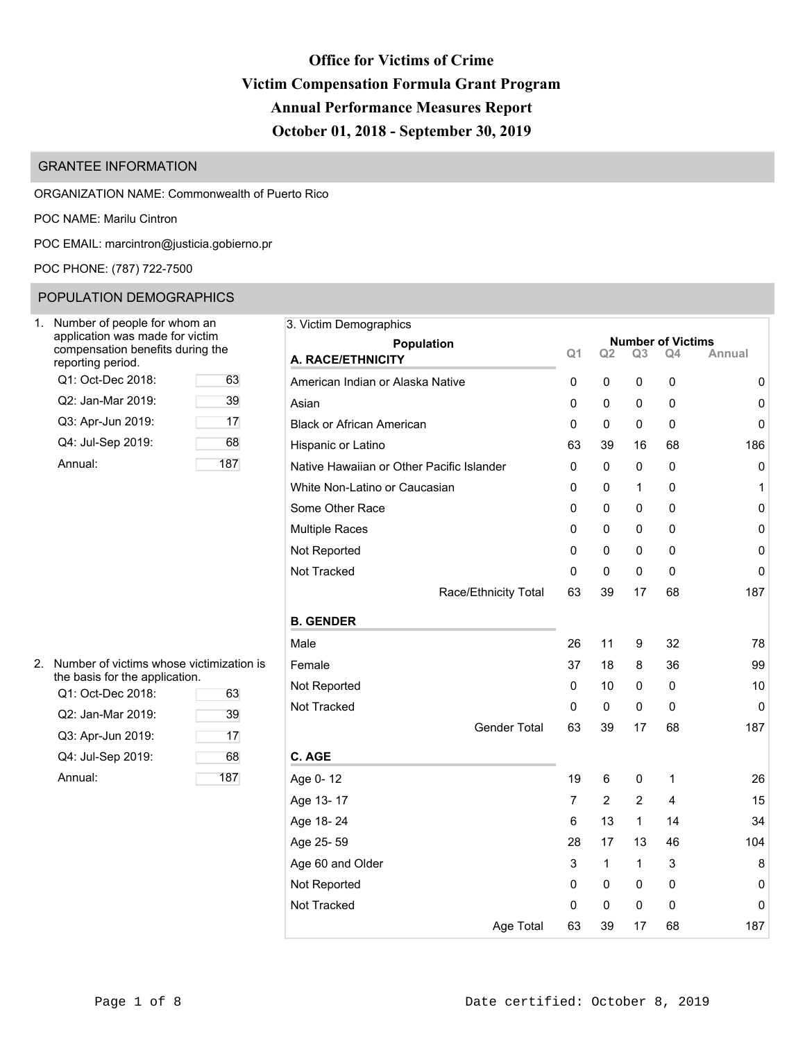# **Office for Victims of Crime Victim Compensation Formula Grant Program Annual Performance Measures Report October 01, 2018 - September 30, 2019**

## GRANTEE INFORMATION

ORGANIZATION NAME: Commonwealth of Puerto Rico

POC NAME: Marilu Cintron

POC EMAIL: [marcintron@justicia.gobierno.pr](mailto:marcintron@justicia.gobierno.pr)

POC PHONE: (787) 722-7500

## POPULATION DEMOGRAPHICS

| Number of people for whom an<br>application was made for victim<br>compensation benefits during the<br>reporting period. |     |
|--------------------------------------------------------------------------------------------------------------------------|-----|
| Q1: Oct-Dec 2018:                                                                                                        | 63  |
| Q2: Jan-Mar 2019:                                                                                                        | 39  |
| Q3: Apr-Jun 2019:                                                                                                        | 17  |
| Q4: Jul-Sep 2019:                                                                                                        | 68  |
| Annual:                                                                                                                  | 187 |

| 2. | Number of victims whose victimization is<br>the basis for the application. |     | Female   |
|----|----------------------------------------------------------------------------|-----|----------|
|    | Q1: Oct-Dec 2018:                                                          | 63  | Not Rep  |
|    | Q2: Jan-Mar 2019:                                                          | 39  | Not Trac |
|    | Q3: Apr-Jun 2019:                                                          | 17  |          |
|    | Q4: Jul-Sep 2019:                                                          | 68  | C. AGE   |
|    | Annual:                                                                    | 187 | Age 0-1  |
|    |                                                                            |     |          |

| Number of people for whom an<br>application was made for victim |     | 3. Victim Demographics                    |                |                |                |                                |        |  |
|-----------------------------------------------------------------|-----|-------------------------------------------|----------------|----------------|----------------|--------------------------------|--------|--|
| compensation benefits during the<br>eporting period.            |     | <b>Population</b><br>A. RACE/ETHNICITY    | Q <sub>1</sub> | Q <sub>2</sub> | Q <sub>3</sub> | <b>Number of Victims</b><br>Q4 | Annual |  |
| Q1: Oct-Dec 2018:                                               | 63  | American Indian or Alaska Native          | 0              | 0              | 0              | 0                              | 0      |  |
| Q2: Jan-Mar 2019:                                               | 39  | Asian                                     | 0              | 0              | 0              | 0                              | 0      |  |
| Q3: Apr-Jun 2019:                                               | 17  | <b>Black or African American</b>          | 0              | 0              | 0              | 0                              | 0      |  |
| Q4: Jul-Sep 2019:                                               | 68  | Hispanic or Latino                        | 63             | 39             | 16             | 68                             | 186    |  |
| Annual:                                                         | 187 | Native Hawaiian or Other Pacific Islander | 0              | 0              | 0              | 0                              | 0      |  |
|                                                                 |     | White Non-Latino or Caucasian             | 0              | 0              | 1              | 0                              | 1      |  |
|                                                                 |     | Some Other Race                           | 0              | 0              | 0              | 0                              | 0      |  |
|                                                                 |     | <b>Multiple Races</b>                     | 0              | 0              | 0              | 0                              | 0      |  |
|                                                                 |     | Not Reported                              | 0              | 0              | 0              | 0                              | 0      |  |
|                                                                 |     | Not Tracked                               | 0              | 0              | 0              | 0                              | 0      |  |
|                                                                 |     | Race/Ethnicity Total                      | 63             | 39             | 17             | 68                             | 187    |  |
|                                                                 |     | <b>B. GENDER</b>                          |                |                |                |                                |        |  |
|                                                                 |     | Male                                      | 26             | 11             | 9              | 32                             | 78     |  |
| Number of victims whose victimization is                        |     | Female                                    | 37             | 18             | 8              | 36                             | 99     |  |
| he basis for the application.<br>Q1: Oct-Dec 2018:              | 63  | Not Reported                              | 0              | 10             | 0              | 0                              | 10     |  |
| Q2: Jan-Mar 2019:                                               | 39  | Not Tracked                               | 0              | 0              | 0              | 0                              | 0      |  |
| Q3: Apr-Jun 2019:                                               | 17  | <b>Gender Total</b>                       | 63             | 39             | 17             | 68                             | 187    |  |
| Q4: Jul-Sep 2019:                                               | 68  | C. AGE                                    |                |                |                |                                |        |  |
| Annual:                                                         | 187 | Age 0-12                                  | 19             | 6              | 0              | 1                              | 26     |  |
|                                                                 |     | Age 13-17                                 | $\overline{7}$ | 2              | $\overline{2}$ | 4                              | 15     |  |
|                                                                 |     | Age 18-24                                 | 6              | 13             | 1              | 14                             | 34     |  |
|                                                                 |     | Age 25-59                                 | 28             | 17             | 13             | 46                             | 104    |  |
|                                                                 |     | Age 60 and Older                          | 3              | 1              | 1              | 3                              | 8      |  |
|                                                                 |     | Not Reported                              | 0              | 0              | 0              | 0                              | 0      |  |
|                                                                 |     | Not Tracked                               | 0              | 0              | 0              | 0                              | 0      |  |
|                                                                 |     | Age Total                                 | 63             | 39             | 17             | 68                             | 187    |  |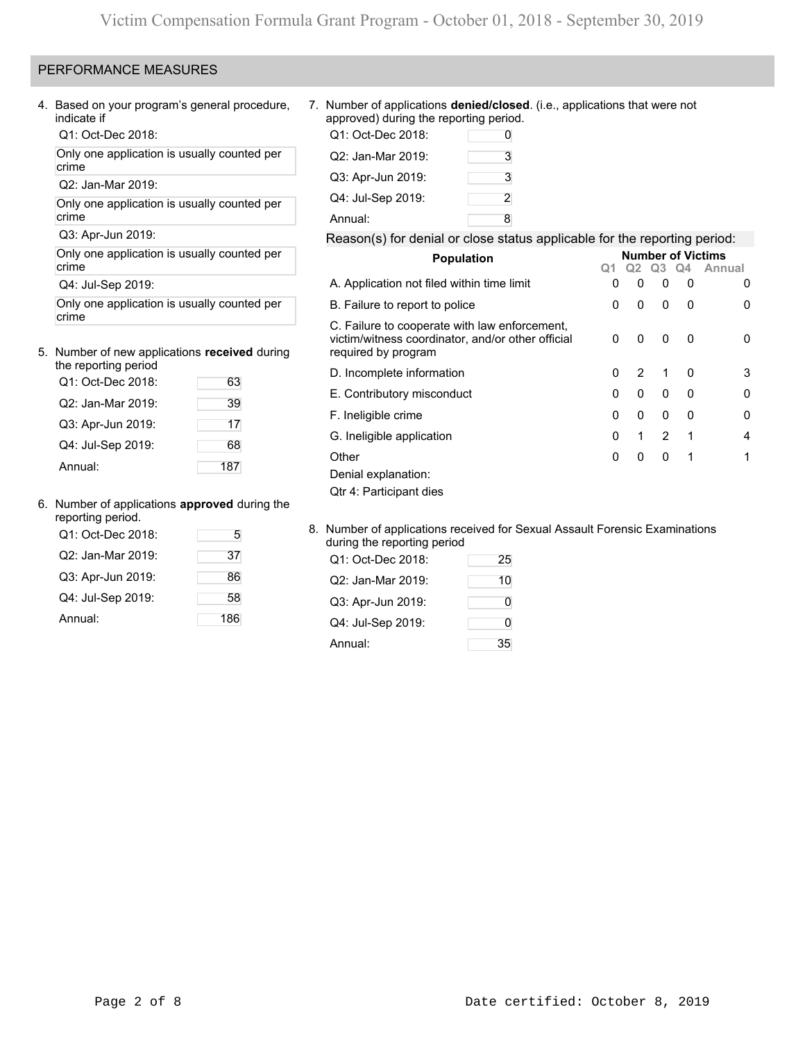### PERFORMANCE MEASURES

Q1: Oct-Dec 2018:

Only one application is usually counted per crime

Q2: Jan-Mar 2019:

Only one application is usually counted per crime crime and a set of the Annual: 8

#### 5. Number of new applications **received** during the reporting period

| ine reporting period |     |
|----------------------|-----|
| Q1: Oct-Dec 2018:    | 63  |
| Q2: Jan-Mar 2019:    | 39  |
| Q3: Apr-Jun 2019:    | 17  |
| Q4: Jul-Sep 2019:    | 68  |
| Annual:              | 187 |

### 6. Number of applications **approved** during the

| <b>Trainbor or applications applicited damig the</b><br>reporting period. |     |                                                                       |    |
|---------------------------------------------------------------------------|-----|-----------------------------------------------------------------------|----|
| Q1: Oct-Dec 2018:                                                         | 5   | 8. Number of applications received for<br>during the reporting period |    |
| Q2: Jan-Mar 2019:                                                         | 37  | Q1: Oct-Dec 2018:                                                     | 25 |
| Q3: Apr-Jun 2019:                                                         | 86  | Q2: Jan-Mar 2019:                                                     | 10 |
| Q4: Jul-Sep 2019:                                                         | 58  | Q3: Apr-Jun 2019:                                                     | 0  |
| Annual:                                                                   | 186 | Q4: Jul-Sep 2019:                                                     | 0  |

4. Based on your program's general procedure, 7. Number of applications **denied/closed**. (i.e., applications that were not approved) during the reporting period.

| Q1: Oct-Dec 2018: | 0 |
|-------------------|---|
| Q2: Jan-Mar 2019: | 3 |
| Q3: Apr-Jun 2019: | 3 |
| Q4: Jul-Sep 2019: | 2 |
| Annual:           | 8 |

# Q3: Apr-Jun 2019: Reason(s) for denial or close status applicable for the reporting period:

| Only one application is usually counted per         |     | <b>Population</b>                                                                                                         | <b>Number of Victims</b> |              |                |              |                |  |  |
|-----------------------------------------------------|-----|---------------------------------------------------------------------------------------------------------------------------|--------------------------|--------------|----------------|--------------|----------------|--|--|
| crime                                               |     |                                                                                                                           |                          |              | Q <sub>3</sub> | 04           | Annual         |  |  |
| Q4: Jul-Sep 2019:                                   |     | A. Application not filed within time limit                                                                                | 0                        | $\mathbf{0}$ | 0              | 0            | 0              |  |  |
| Only one application is usually counted per         |     | B. Failure to report to police                                                                                            | 0                        | $\mathbf{0}$ | 0              | $\mathbf{0}$ | 0              |  |  |
| crime<br>Number of new applications received during |     | C. Failure to cooperate with law enforcement,<br>victim/witness coordinator, and/or other official<br>required by program | 0                        | 0            | 0              | $\mathbf{0}$ | $\Omega$       |  |  |
| the reporting period                                |     | D. Incomplete information                                                                                                 | 0                        | 2            |                | 0            | 3              |  |  |
| Q1: Oct-Dec 2018:                                   | 63  | E. Contributory misconduct                                                                                                | 0                        | $\Omega$     | $\mathbf{0}$   | $\mathbf{0}$ | $\mathbf 0$    |  |  |
| Q2: Jan-Mar 2019:                                   | 39  |                                                                                                                           | 0                        | $\Omega$     | $\Omega$       | $\Omega$     | 0              |  |  |
| Q3: Apr-Jun 2019:                                   | 17  | F. Ineligible crime                                                                                                       |                          |              |                |              |                |  |  |
| Q4: Jul-Sep 2019:                                   | 68  | G. Ineligible application                                                                                                 | 0                        |              | $\overline{2}$ | - 1          | $\overline{4}$ |  |  |
| Annual:                                             | 187 | Other<br>Denial explanation:                                                                                              | 0                        | $\mathbf{0}$ | $\Omega$       | -1           | 1              |  |  |
|                                                     |     | Qtr 4: Participant dies                                                                                                   |                          |              |                |              |                |  |  |

### 8. Number of applications received for Sexual Assault Forensic Examinations during the reporting period

| Q1: Oct-Dec 2018: | 25 |
|-------------------|----|
| Q2: Jan-Mar 2019: | 10 |
| Q3: Apr-Jun 2019: | 0  |
| Q4: Jul-Sep 2019: | O  |
| Annual:           | 35 |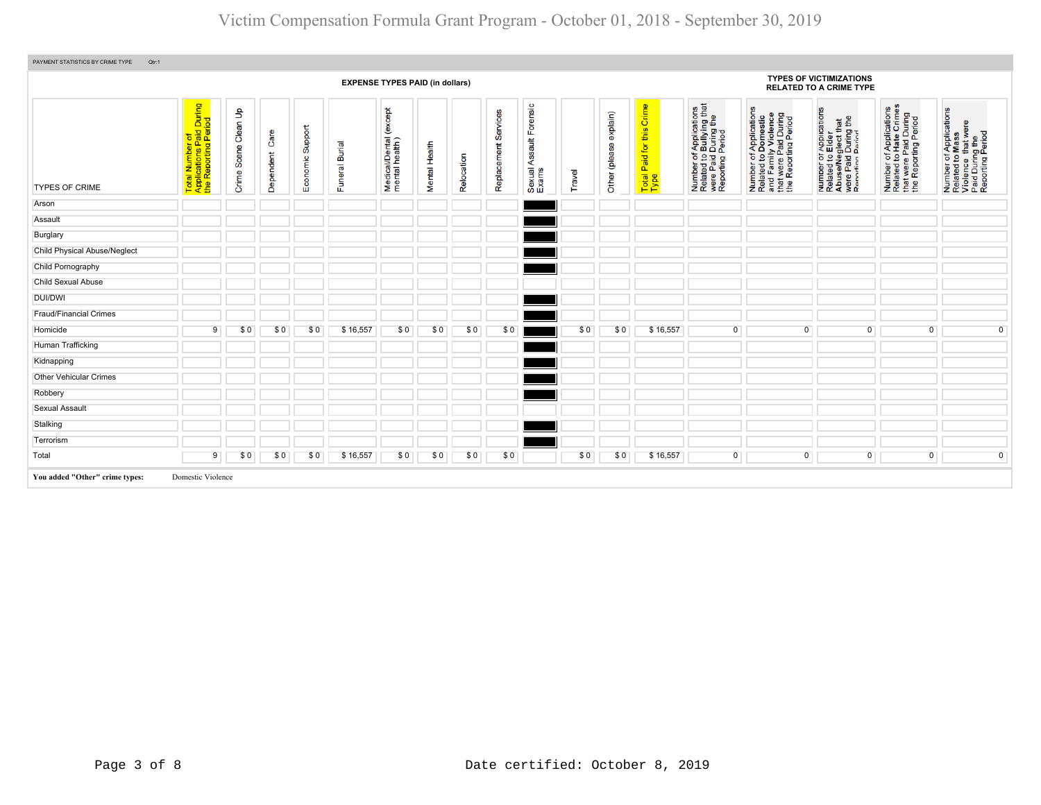# Victim Compensation Formula Grant Program - October 01, 2018 - September 30, 2019

| PAYMENT STATISTICS BY CRIME TYPE<br>Qtr:1 |                                                                                           |                                         |                   |                     |                          |                                              |               |            |                         |                                            |        |                              |                                                            |                                                                                                |                                                                                                                       |                                                                                                             |                                                                                                   |                                                                                                        |
|-------------------------------------------|-------------------------------------------------------------------------------------------|-----------------------------------------|-------------------|---------------------|--------------------------|----------------------------------------------|---------------|------------|-------------------------|--------------------------------------------|--------|------------------------------|------------------------------------------------------------|------------------------------------------------------------------------------------------------|-----------------------------------------------------------------------------------------------------------------------|-------------------------------------------------------------------------------------------------------------|---------------------------------------------------------------------------------------------------|--------------------------------------------------------------------------------------------------------|
|                                           |                                                                                           |                                         |                   |                     |                          | <b>EXPENSE TYPES PAID (in dollars)</b>       |               |            |                         |                                            |        |                              |                                                            |                                                                                                |                                                                                                                       | <b>TYPES OF VICTIMIZATIONS</b><br><b>RELATED TO A CRIME TYPE</b>                                            |                                                                                                   |                                                                                                        |
| <b>TYPES OF CRIME</b>                     | During<br>$\overline{g}$<br>Total Number of<br>Applications Paid I<br>the Reporting Peric | $\mathbf{e}$<br>Clean<br>Scene<br>Crime | Care<br>Dependent | Support<br>Economic | <b>Burial</b><br>Funeral | except<br>Medical/Dental (<br>mental health) | Mental Health | Relocation | Services<br>Replacement | orensic<br>ш<br>Assault<br>Sexual<br>Exams | Travel | explain)<br>(please<br>Other | Crime<br>this<br>tor<br>Paid <sup>+</sup><br>Total<br>Type | Number of Applications<br>Related to Bullying that<br>were Paid During the<br>Reporting Period | Number of Applications<br>Related to Domestic<br>and Family Violence<br>that were Paid During<br>the Reporting Period | Number or Applications<br>Related to Elder<br>AbuseMeglect that<br>were Paid During the<br>Renorting Period | Number of Applications<br>Related to Hate Crimes<br>that were Paid During<br>the Reporting Period | Number of Applications<br>Related to Mass<br>Violence that were<br>Paid During the<br>Reporting Period |
| Arson                                     |                                                                                           |                                         |                   |                     |                          |                                              |               |            |                         |                                            |        |                              |                                                            |                                                                                                |                                                                                                                       |                                                                                                             |                                                                                                   |                                                                                                        |
| Assault                                   |                                                                                           |                                         |                   |                     |                          |                                              |               |            |                         |                                            |        |                              |                                                            |                                                                                                |                                                                                                                       |                                                                                                             |                                                                                                   |                                                                                                        |
| Burglary                                  |                                                                                           |                                         |                   |                     |                          |                                              |               |            |                         |                                            |        |                              |                                                            |                                                                                                |                                                                                                                       |                                                                                                             |                                                                                                   |                                                                                                        |
| <b>Child Physical Abuse/Neglect</b>       |                                                                                           |                                         |                   |                     |                          |                                              |               |            |                         |                                            |        |                              |                                                            |                                                                                                |                                                                                                                       |                                                                                                             |                                                                                                   |                                                                                                        |
| Child Pornography                         |                                                                                           |                                         |                   |                     |                          |                                              |               |            |                         |                                            |        |                              |                                                            |                                                                                                |                                                                                                                       |                                                                                                             |                                                                                                   |                                                                                                        |
| <b>Child Sexual Abuse</b>                 |                                                                                           |                                         |                   |                     |                          |                                              |               |            |                         |                                            |        |                              |                                                            |                                                                                                |                                                                                                                       |                                                                                                             |                                                                                                   |                                                                                                        |
| DUI/DWI                                   |                                                                                           |                                         |                   |                     |                          |                                              |               |            |                         |                                            |        |                              |                                                            |                                                                                                |                                                                                                                       |                                                                                                             |                                                                                                   |                                                                                                        |
| Fraud/Financial Crimes                    |                                                                                           |                                         |                   |                     |                          |                                              |               |            |                         |                                            |        |                              |                                                            |                                                                                                |                                                                                                                       |                                                                                                             |                                                                                                   |                                                                                                        |
| Homicide                                  | 9                                                                                         | \$0                                     | \$0               | \$0                 | \$16,557                 | \$0                                          | \$0           | \$0        | \$0                     |                                            | \$0    | \$0                          | \$16,557                                                   | $\mathbf{0}$                                                                                   | $\overline{0}$                                                                                                        | $\overline{0}$                                                                                              | $\overline{0}$                                                                                    | $\overline{0}$                                                                                         |
| Human Trafficking                         |                                                                                           |                                         |                   |                     |                          |                                              |               |            |                         |                                            |        |                              |                                                            |                                                                                                |                                                                                                                       |                                                                                                             |                                                                                                   |                                                                                                        |
| Kidnapping                                |                                                                                           |                                         |                   |                     |                          |                                              |               |            |                         |                                            |        |                              |                                                            |                                                                                                |                                                                                                                       |                                                                                                             |                                                                                                   |                                                                                                        |
| <b>Other Vehicular Crimes</b>             |                                                                                           |                                         |                   |                     |                          |                                              |               |            |                         |                                            |        |                              |                                                            |                                                                                                |                                                                                                                       |                                                                                                             |                                                                                                   |                                                                                                        |
| Robbery                                   |                                                                                           |                                         |                   |                     |                          |                                              |               |            |                         |                                            |        |                              |                                                            |                                                                                                |                                                                                                                       |                                                                                                             |                                                                                                   |                                                                                                        |
| <b>Sexual Assault</b>                     |                                                                                           |                                         |                   |                     |                          |                                              |               |            |                         |                                            |        |                              |                                                            |                                                                                                |                                                                                                                       |                                                                                                             |                                                                                                   |                                                                                                        |
| Stalking                                  |                                                                                           |                                         |                   |                     |                          |                                              |               |            |                         |                                            |        |                              |                                                            |                                                                                                |                                                                                                                       |                                                                                                             |                                                                                                   |                                                                                                        |
| Terrorism                                 |                                                                                           |                                         |                   |                     |                          |                                              |               |            |                         |                                            |        |                              |                                                            |                                                                                                |                                                                                                                       |                                                                                                             |                                                                                                   |                                                                                                        |
| Total                                     | 9                                                                                         | \$0                                     | \$0               | \$0                 | \$16,557                 | \$0                                          | \$0           | \$0        | \$0                     |                                            | \$0    | \$0                          | \$16,557                                                   | 0                                                                                              | $\overline{0}$                                                                                                        | $\overline{0}$                                                                                              | $\mathbf 0$                                                                                       | $\mathbf 0$                                                                                            |
| You added "Other" crime types:            | Domestic Violence                                                                         |                                         |                   |                     |                          |                                              |               |            |                         |                                            |        |                              |                                                            |                                                                                                |                                                                                                                       |                                                                                                             |                                                                                                   |                                                                                                        |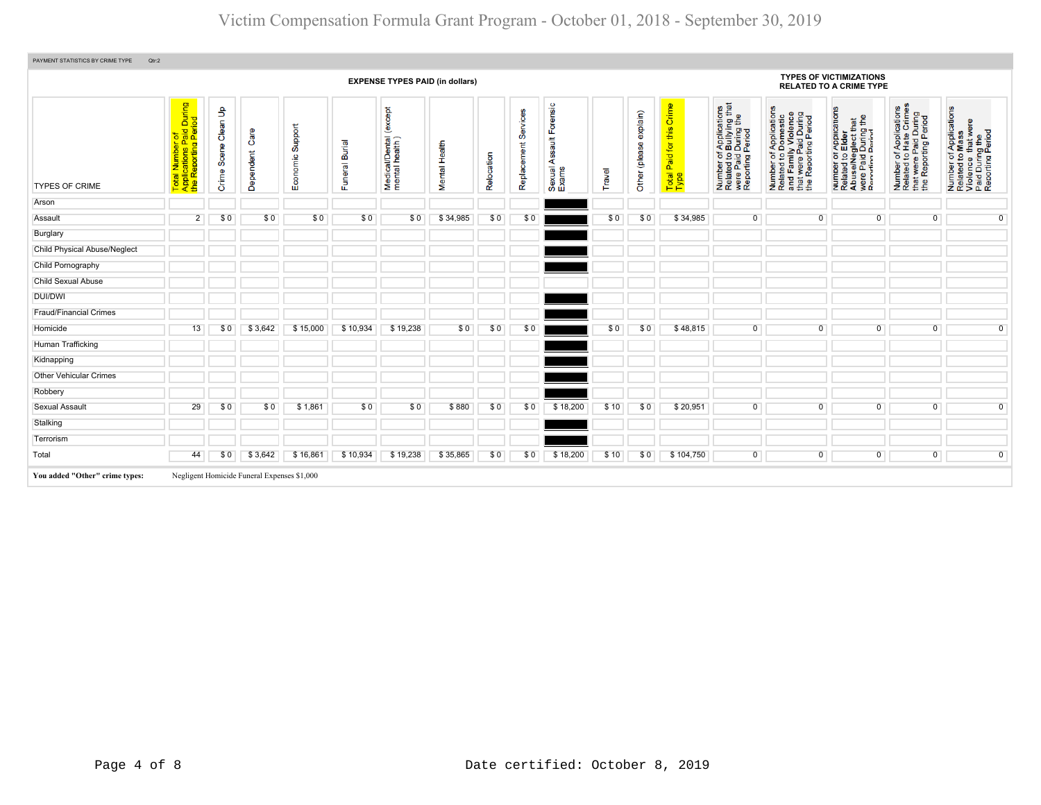|                                |                                                                     |                         |                                             |                     |                |                                            | <b>EXPENSE TYPES PAID (in dollars)</b> |            |                         |                                                         |            |                           |                                            |                                                                                                                                    |                                                                                                                       | <b>TYPES OF VICTIMIZATIONS</b><br><b>RELATED TO A CRIME TYPE</b>                                            |                                                                                                   |                                                                                                        |
|--------------------------------|---------------------------------------------------------------------|-------------------------|---------------------------------------------|---------------------|----------------|--------------------------------------------|----------------------------------------|------------|-------------------------|---------------------------------------------------------|------------|---------------------------|--------------------------------------------|------------------------------------------------------------------------------------------------------------------------------------|-----------------------------------------------------------------------------------------------------------------------|-------------------------------------------------------------------------------------------------------------|---------------------------------------------------------------------------------------------------|--------------------------------------------------------------------------------------------------------|
| <b>TYPES OF CRIME</b>          | Total Number of<br>Applications Paid During<br>the Reporting Period | Clean Up<br>Crime Scene | Care<br>Dependent                           | Support<br>Economic | Funeral Burial | except<br>Medical/Dental<br>mental health) | Mental Health                          | Relocation | Services<br>Replacement | Forensic<br>$\frac{4}{10}$<br>တ္တ<br>Sexual As<br>Exams | ravel<br>⊢ | explain)<br>Other (please | Crime<br>this<br>Paid for<br>Total<br>Type | of Applications<br>b Bullying that<br>1 During the<br>I Period<br>Number of /<br>Related to <b>E</b><br>were Paid L<br>Reporting F | Number of Applications<br>Related to Domestic<br>and Family Violence<br>that were Paid During<br>the Reporting Period | Number of Applications<br>Related to Elder<br>AbuseMeglect that<br>were Paid During the<br>Renorting Period | Number of Applications<br>Related to Hate Crimes<br>that were Paid During<br>the Reporting Period | Number of Applications<br>Related to Mass<br>Violence that were<br>Paid During the<br>Reporting Period |
| Arson                          |                                                                     |                         |                                             |                     |                |                                            |                                        |            |                         |                                                         |            |                           |                                            |                                                                                                                                    |                                                                                                                       |                                                                                                             |                                                                                                   |                                                                                                        |
| Assault                        | $\overline{2}$                                                      | \$0                     | \$0                                         | \$0                 | \$0            | \$0                                        | \$34,985                               | \$0        | \$0                     |                                                         | \$0        | \$0                       | \$34,985                                   | $\mathbf{0}$                                                                                                                       | $\mathbf{0}$                                                                                                          | $\overline{0}$                                                                                              | $\overline{0}$                                                                                    | $\overline{0}$                                                                                         |
| Burglary                       |                                                                     |                         |                                             |                     |                |                                            |                                        |            |                         |                                                         |            |                           |                                            |                                                                                                                                    |                                                                                                                       |                                                                                                             |                                                                                                   |                                                                                                        |
| Child Physical Abuse/Neglect   |                                                                     |                         |                                             |                     |                |                                            |                                        |            |                         |                                                         |            |                           |                                            |                                                                                                                                    |                                                                                                                       |                                                                                                             |                                                                                                   |                                                                                                        |
| Child Pornography              |                                                                     |                         |                                             |                     |                |                                            |                                        |            |                         |                                                         |            |                           |                                            |                                                                                                                                    |                                                                                                                       |                                                                                                             |                                                                                                   |                                                                                                        |
| Child Sexual Abuse             |                                                                     |                         |                                             |                     |                |                                            |                                        |            |                         |                                                         |            |                           |                                            |                                                                                                                                    |                                                                                                                       |                                                                                                             |                                                                                                   |                                                                                                        |
| <b>DUI/DWI</b>                 |                                                                     |                         |                                             |                     |                |                                            |                                        |            |                         |                                                         |            |                           |                                            |                                                                                                                                    |                                                                                                                       |                                                                                                             |                                                                                                   |                                                                                                        |
| <b>Fraud/Financial Crimes</b>  |                                                                     |                         |                                             |                     |                |                                            |                                        |            |                         |                                                         |            |                           |                                            |                                                                                                                                    |                                                                                                                       |                                                                                                             |                                                                                                   |                                                                                                        |
| Homicide                       | 13                                                                  | \$0                     | \$3,642                                     | \$15,000            | \$10,934       | \$19,238                                   | \$0                                    | \$0        | \$0                     |                                                         | \$0        | \$0                       | \$48,815                                   | $\Omega$                                                                                                                           | $\overline{0}$                                                                                                        | $\overline{0}$                                                                                              | $\overline{0}$                                                                                    | $\overline{0}$                                                                                         |
| Human Trafficking              |                                                                     |                         |                                             |                     |                |                                            |                                        |            |                         |                                                         |            |                           |                                            |                                                                                                                                    |                                                                                                                       |                                                                                                             |                                                                                                   |                                                                                                        |
| Kidnapping                     |                                                                     |                         |                                             |                     |                |                                            |                                        |            |                         |                                                         |            |                           |                                            |                                                                                                                                    |                                                                                                                       |                                                                                                             |                                                                                                   |                                                                                                        |
| <b>Other Vehicular Crimes</b>  |                                                                     |                         |                                             |                     |                |                                            |                                        |            |                         |                                                         |            |                           |                                            |                                                                                                                                    |                                                                                                                       |                                                                                                             |                                                                                                   |                                                                                                        |
| Robbery                        |                                                                     |                         |                                             |                     |                |                                            |                                        |            |                         |                                                         |            |                           |                                            |                                                                                                                                    |                                                                                                                       |                                                                                                             |                                                                                                   |                                                                                                        |
| Sexual Assault                 | 29                                                                  | \$0                     | \$0                                         | \$1,861             | \$0            | \$0                                        | \$880                                  | \$0        | \$0                     | \$18,200                                                | \$10       | \$0                       | \$20,951                                   | $\Omega$                                                                                                                           | $\overline{0}$                                                                                                        | $\Omega$                                                                                                    | $\overline{0}$                                                                                    | $\overline{0}$                                                                                         |
| Stalking                       |                                                                     |                         |                                             |                     |                |                                            |                                        |            |                         |                                                         |            |                           |                                            |                                                                                                                                    |                                                                                                                       |                                                                                                             |                                                                                                   |                                                                                                        |
| Terrorism                      |                                                                     |                         |                                             |                     |                |                                            |                                        |            |                         |                                                         |            |                           |                                            |                                                                                                                                    |                                                                                                                       |                                                                                                             |                                                                                                   |                                                                                                        |
| Total                          | 44                                                                  | \$0                     | \$3,642                                     | \$16,861            | \$10,934       | \$19,238                                   | \$35,865                               | \$0        | \$0                     | \$18,200                                                | \$10       | \$0                       | \$104,750                                  | 0                                                                                                                                  | $\overline{0}$                                                                                                        | $\overline{0}$                                                                                              | $\overline{0}$                                                                                    | $\overline{0}$                                                                                         |
| You added "Other" crime types: |                                                                     |                         | Negligent Homicide Funeral Expenses \$1,000 |                     |                |                                            |                                        |            |                         |                                                         |            |                           |                                            |                                                                                                                                    |                                                                                                                       |                                                                                                             |                                                                                                   |                                                                                                        |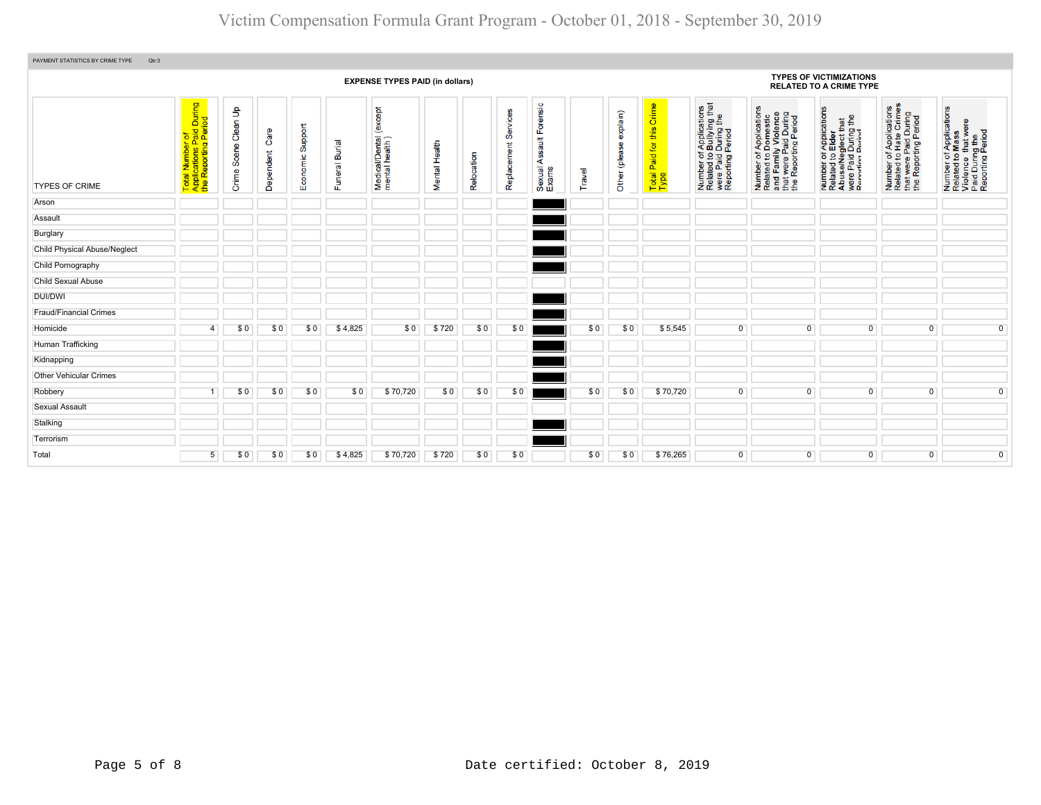| PAYMENT STATISTICS BY CRIME TYPE<br>Qtr:3 |                                                                     |                      |                   |                     |                              |                                            |               |            |                         |                                            |        |                           |                                        |                                                                                                                                           |                                                                                                                       |                                                                                                             |                                                                                                   |                                                                                                        |
|-------------------------------------------|---------------------------------------------------------------------|----------------------|-------------------|---------------------|------------------------------|--------------------------------------------|---------------|------------|-------------------------|--------------------------------------------|--------|---------------------------|----------------------------------------|-------------------------------------------------------------------------------------------------------------------------------------------|-----------------------------------------------------------------------------------------------------------------------|-------------------------------------------------------------------------------------------------------------|---------------------------------------------------------------------------------------------------|--------------------------------------------------------------------------------------------------------|
|                                           | <b>EXPENSE TYPES PAID (in dollars)</b>                              |                      |                   |                     |                              |                                            |               |            |                         |                                            |        |                           |                                        |                                                                                                                                           |                                                                                                                       | <b>TYPES OF VICTIMIZATIONS</b><br><b>RELATED TO A CRIME TYPE</b>                                            |                                                                                                   |                                                                                                        |
| <b>TYPES OF CRIME</b>                     | Total Number of<br>Applications Paid During<br>the Reporting Period | Crime Scene Clean Up | Care<br>Dependent | Support<br>Economic | <b>Burial</b><br>uneral<br>正 | except<br>Medical/Dental<br>mental health) | Mental Health | Relocation | Services<br>Replacement | rensic<br>叿<br>tal<br>⋖<br>Sexual<br>Exams | Travel | explain)<br>Other (please | this Crime<br>Total Paid for t<br>Type | of Applications<br>o Bullying that<br>I During the<br>I Period<br>Number of <i>A</i><br>Related to <b>B</b><br>were Paid D<br>Reporting P | Number of Applications<br>Related to Domestic<br>and Family Violence<br>that were Paid During<br>the Reporting Period | Number of Applications<br>Related to Elder<br>AbuseMeglect that<br>were Paid During the<br>Renorting Period | Number of Applications<br>Related to Hate Crimes<br>that were Paid During<br>the Reporting Period | Number of Applications<br>Related to Mass<br>Violence that were<br>Paid During the<br>Reporting Period |
| Arson                                     |                                                                     |                      |                   |                     |                              |                                            |               |            |                         |                                            |        |                           |                                        |                                                                                                                                           |                                                                                                                       |                                                                                                             |                                                                                                   |                                                                                                        |
| Assault                                   |                                                                     |                      |                   |                     |                              |                                            |               |            |                         |                                            |        |                           |                                        |                                                                                                                                           |                                                                                                                       |                                                                                                             |                                                                                                   |                                                                                                        |
| Burglary                                  |                                                                     |                      |                   |                     |                              |                                            |               |            |                         |                                            |        |                           |                                        |                                                                                                                                           |                                                                                                                       |                                                                                                             |                                                                                                   |                                                                                                        |
| Child Physical Abuse/Neglect              |                                                                     |                      |                   |                     |                              |                                            |               |            |                         |                                            |        |                           |                                        |                                                                                                                                           |                                                                                                                       |                                                                                                             |                                                                                                   |                                                                                                        |
| Child Pornography                         |                                                                     |                      |                   |                     |                              |                                            |               |            |                         |                                            |        |                           |                                        |                                                                                                                                           |                                                                                                                       |                                                                                                             |                                                                                                   |                                                                                                        |
| <b>Child Sexual Abuse</b>                 |                                                                     |                      |                   |                     |                              |                                            |               |            |                         |                                            |        |                           |                                        |                                                                                                                                           |                                                                                                                       |                                                                                                             |                                                                                                   |                                                                                                        |
| DUI/DWI                                   |                                                                     |                      |                   |                     |                              |                                            |               |            |                         |                                            |        |                           |                                        |                                                                                                                                           |                                                                                                                       |                                                                                                             |                                                                                                   |                                                                                                        |
| <b>Fraud/Financial Crimes</b>             |                                                                     |                      |                   |                     |                              |                                            |               |            |                         |                                            |        |                           |                                        |                                                                                                                                           |                                                                                                                       |                                                                                                             |                                                                                                   |                                                                                                        |
| Homicide                                  | 4                                                                   | \$0                  | \$0               | \$0                 | \$4,825                      | \$0                                        | \$720         | \$0        | \$0                     |                                            | \$0    | \$0                       | \$5,545                                | 0                                                                                                                                         | $\Omega$                                                                                                              | $\Omega$                                                                                                    | $\mathbf{0}$                                                                                      | $\overline{0}$                                                                                         |
| Human Trafficking                         |                                                                     |                      |                   |                     |                              |                                            |               |            |                         |                                            |        |                           |                                        |                                                                                                                                           |                                                                                                                       |                                                                                                             |                                                                                                   |                                                                                                        |
| Kidnapping                                |                                                                     |                      |                   |                     |                              |                                            |               |            |                         |                                            |        |                           |                                        |                                                                                                                                           |                                                                                                                       |                                                                                                             |                                                                                                   |                                                                                                        |
| <b>Other Vehicular Crimes</b>             |                                                                     |                      |                   |                     |                              |                                            |               |            |                         |                                            |        |                           |                                        |                                                                                                                                           |                                                                                                                       |                                                                                                             |                                                                                                   |                                                                                                        |
| Robbery                                   |                                                                     | \$0                  | \$0               | \$0                 | \$0                          | \$70,720                                   | \$0           | \$0        | \$0                     |                                            | \$0    | \$0                       | \$70,720                               | $\overline{0}$                                                                                                                            | $\overline{0}$                                                                                                        | 0                                                                                                           | $\overline{0}$                                                                                    | $\overline{0}$                                                                                         |
| Sexual Assault                            |                                                                     |                      |                   |                     |                              |                                            |               |            |                         |                                            |        |                           |                                        |                                                                                                                                           |                                                                                                                       |                                                                                                             |                                                                                                   |                                                                                                        |
| Stalking                                  |                                                                     |                      |                   |                     |                              |                                            |               |            |                         |                                            |        |                           |                                        |                                                                                                                                           |                                                                                                                       |                                                                                                             |                                                                                                   |                                                                                                        |
| Terrorism                                 |                                                                     |                      |                   |                     |                              |                                            |               |            |                         |                                            |        |                           |                                        |                                                                                                                                           |                                                                                                                       |                                                                                                             |                                                                                                   |                                                                                                        |
| Total                                     | 5 <sup>5</sup>                                                      | \$0                  | \$0               | \$0                 | \$4,825                      | \$70,720                                   | \$720         | \$0        | \$0                     |                                            | \$0    | \$0                       | \$76,265                               | $\overline{0}$                                                                                                                            | $\mathbf{0}$                                                                                                          | 0                                                                                                           | $\overline{0}$                                                                                    | $\overline{0}$                                                                                         |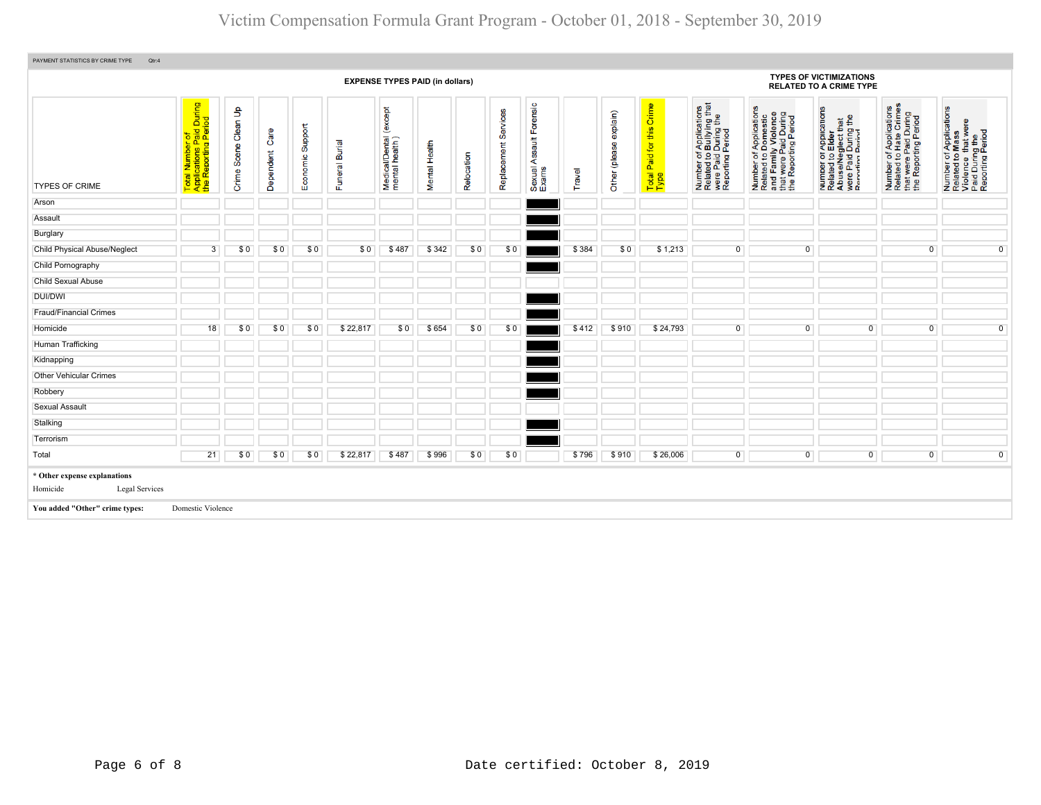| PAYMENT STATISTICS BY CRIME TYPE<br>Qtr:4                  |                                                                     |                                      |                   |                     |                |                                              |               |            |                         |                                            |        |                           |                                   |                                                                                                |                                                                                                                       |                                                                                                              |                                                                                                   |                                                                                                        |
|------------------------------------------------------------|---------------------------------------------------------------------|--------------------------------------|-------------------|---------------------|----------------|----------------------------------------------|---------------|------------|-------------------------|--------------------------------------------|--------|---------------------------|-----------------------------------|------------------------------------------------------------------------------------------------|-----------------------------------------------------------------------------------------------------------------------|--------------------------------------------------------------------------------------------------------------|---------------------------------------------------------------------------------------------------|--------------------------------------------------------------------------------------------------------|
|                                                            |                                                                     |                                      |                   |                     |                | <b>EXPENSE TYPES PAID (in dollars)</b>       |               |            |                         |                                            |        |                           |                                   |                                                                                                |                                                                                                                       | <b>TYPES OF VICTIMIZATIONS</b><br><b>RELATED TO A CRIME TYPE</b>                                             |                                                                                                   |                                                                                                        |
| <b>TYPES OF CRIME</b>                                      | Total Number of<br>Applications Paid During<br>the Reporting Period | $\mathbf{S}$<br>Scene Clean<br>Crime | Care<br>Dependent | Support<br>Economic | Funeral Burial | except<br>Medical/Dental (<br>mental health) | Mental Health | Relocation | Services<br>Replacement | orensic<br>u.<br>Sexual Assault F<br>Exams | Travel | explain)<br>Other (please | Total Paid for this Crime<br>Type | Number of Applications<br>Related to Bullying that<br>were Paid During the<br>Reporting Period | Number of Applications<br>Related to Domestic<br>and Family Violence<br>that were Paid During<br>the Reporting Period | Number of Applications<br>Related to Elder<br>Abuse/Neglect that<br>were Paid During the<br>Renorting Pariod | Number of Applications<br>Related to Hate Crimes<br>that were Paid During<br>the Reporting Period | Number of Applications<br>Related to Mass<br>Violence that were<br>Paid During the<br>Reporting Period |
| Arson                                                      |                                                                     |                                      |                   |                     |                |                                              |               |            |                         |                                            |        |                           |                                   |                                                                                                |                                                                                                                       |                                                                                                              |                                                                                                   |                                                                                                        |
| Assault                                                    |                                                                     |                                      |                   |                     |                |                                              |               |            |                         |                                            |        |                           |                                   |                                                                                                |                                                                                                                       |                                                                                                              |                                                                                                   |                                                                                                        |
| Burglary                                                   |                                                                     |                                      |                   |                     |                |                                              |               |            |                         |                                            |        |                           |                                   |                                                                                                |                                                                                                                       |                                                                                                              |                                                                                                   |                                                                                                        |
| Child Physical Abuse/Neglect                               | 3                                                                   | \$0                                  | \$0               | \$0                 | \$0            | \$487                                        | \$342         | \$0        | \$0                     |                                            | \$384  | \$0                       | \$1,213                           | $\overline{0}$                                                                                 | $\overline{0}$                                                                                                        |                                                                                                              | $\overline{0}$                                                                                    | $\overline{0}$                                                                                         |
| Child Pornography                                          |                                                                     |                                      |                   |                     |                |                                              |               |            |                         |                                            |        |                           |                                   |                                                                                                |                                                                                                                       |                                                                                                              |                                                                                                   |                                                                                                        |
| <b>Child Sexual Abuse</b>                                  |                                                                     |                                      |                   |                     |                |                                              |               |            |                         |                                            |        |                           |                                   |                                                                                                |                                                                                                                       |                                                                                                              |                                                                                                   |                                                                                                        |
| <b>DUI/DWI</b>                                             |                                                                     |                                      |                   |                     |                |                                              |               |            |                         |                                            |        |                           |                                   |                                                                                                |                                                                                                                       |                                                                                                              |                                                                                                   |                                                                                                        |
| <b>Fraud/Financial Crimes</b>                              |                                                                     |                                      |                   |                     |                |                                              |               |            |                         |                                            |        |                           |                                   |                                                                                                |                                                                                                                       |                                                                                                              |                                                                                                   |                                                                                                        |
| Homicide                                                   | 18                                                                  | \$0                                  | \$0               | \$0                 | \$22,817       | \$0                                          | \$654         | \$0        | \$0                     |                                            | \$412  | \$910                     | \$24,793                          | $\Omega$                                                                                       | $\overline{0}$                                                                                                        | $\Omega$                                                                                                     | $\mathbf{0}$                                                                                      | $\overline{0}$                                                                                         |
| Human Trafficking                                          |                                                                     |                                      |                   |                     |                |                                              |               |            |                         |                                            |        |                           |                                   |                                                                                                |                                                                                                                       |                                                                                                              |                                                                                                   |                                                                                                        |
| Kidnapping                                                 |                                                                     |                                      |                   |                     |                |                                              |               |            |                         |                                            |        |                           |                                   |                                                                                                |                                                                                                                       |                                                                                                              |                                                                                                   |                                                                                                        |
| <b>Other Vehicular Crimes</b>                              |                                                                     |                                      |                   |                     |                |                                              |               |            |                         |                                            |        |                           |                                   |                                                                                                |                                                                                                                       |                                                                                                              |                                                                                                   |                                                                                                        |
| Robbery                                                    |                                                                     |                                      |                   |                     |                |                                              |               |            |                         |                                            |        |                           |                                   |                                                                                                |                                                                                                                       |                                                                                                              |                                                                                                   |                                                                                                        |
| Sexual Assault                                             |                                                                     |                                      |                   |                     |                |                                              |               |            |                         |                                            |        |                           |                                   |                                                                                                |                                                                                                                       |                                                                                                              |                                                                                                   |                                                                                                        |
| Stalking                                                   |                                                                     |                                      |                   |                     |                |                                              |               |            |                         |                                            |        |                           |                                   |                                                                                                |                                                                                                                       |                                                                                                              |                                                                                                   |                                                                                                        |
| Terrorism                                                  |                                                                     |                                      |                   |                     |                |                                              |               |            |                         |                                            |        |                           |                                   |                                                                                                |                                                                                                                       |                                                                                                              |                                                                                                   |                                                                                                        |
| Total                                                      | 21                                                                  | \$0                                  | \$0               | \$0                 | \$22,817       | \$487                                        | \$996         | \$0        | \$0                     |                                            | \$796  | \$910                     | \$26,006                          | $\overline{0}$                                                                                 | $\overline{0}$                                                                                                        | $\overline{0}$                                                                                               | $\overline{0}$                                                                                    | $\overline{0}$                                                                                         |
| * Other expense explanations<br>Homicide<br>Legal Services |                                                                     |                                      |                   |                     |                |                                              |               |            |                         |                                            |        |                           |                                   |                                                                                                |                                                                                                                       |                                                                                                              |                                                                                                   |                                                                                                        |
| You added "Other" crime types:                             | Domestic Violence                                                   |                                      |                   |                     |                |                                              |               |            |                         |                                            |        |                           |                                   |                                                                                                |                                                                                                                       |                                                                                                              |                                                                                                   |                                                                                                        |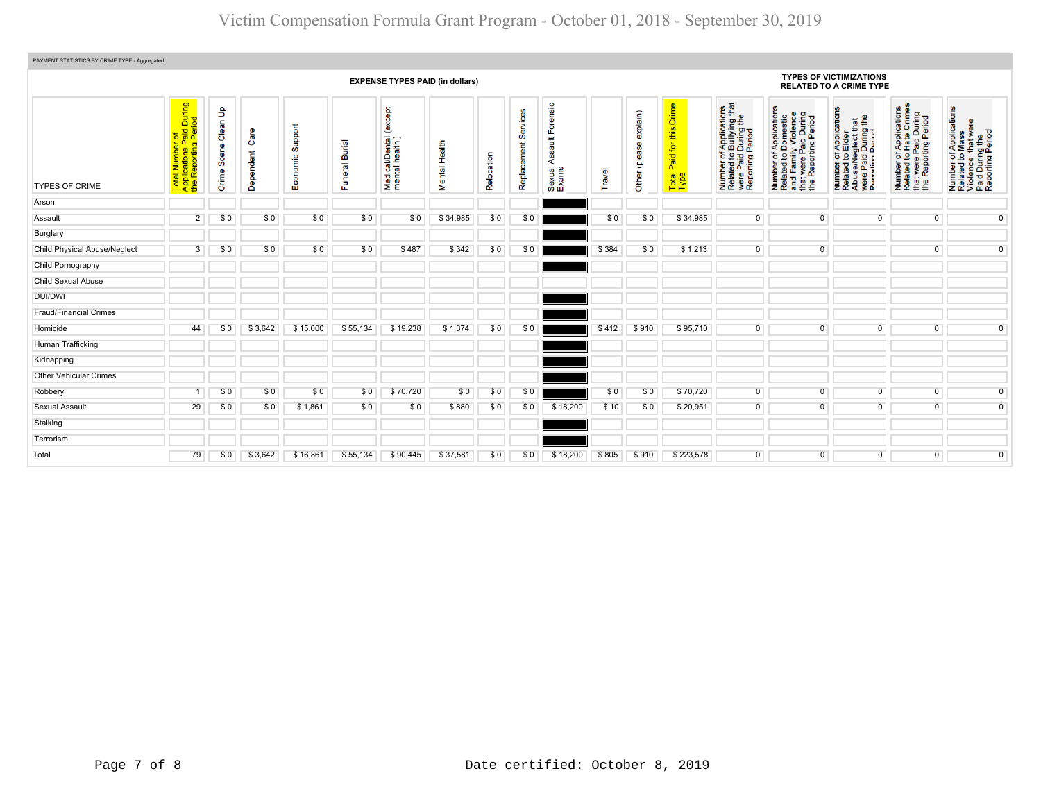| PAYMENT STATISTICS BY CRIME TYPE - Aggregated |                                                                                |                            |                           |                     |                                 |                                                        |                         |            |                         |                                                                |        |                                                                  |                                            |                                                                                                                                      |                                                                                                                       |                                                                                                              |                                                                                                                          |                                                                                                        |
|-----------------------------------------------|--------------------------------------------------------------------------------|----------------------------|---------------------------|---------------------|---------------------------------|--------------------------------------------------------|-------------------------|------------|-------------------------|----------------------------------------------------------------|--------|------------------------------------------------------------------|--------------------------------------------|--------------------------------------------------------------------------------------------------------------------------------------|-----------------------------------------------------------------------------------------------------------------------|--------------------------------------------------------------------------------------------------------------|--------------------------------------------------------------------------------------------------------------------------|--------------------------------------------------------------------------------------------------------|
| <b>EXPENSE TYPES PAID (in dollars)</b>        |                                                                                |                            |                           |                     |                                 |                                                        |                         |            |                         |                                                                |        | <b>TYPES OF VICTIMIZATIONS</b><br><b>RELATED TO A CRIME TYPE</b> |                                            |                                                                                                                                      |                                                                                                                       |                                                                                                              |                                                                                                                          |                                                                                                        |
| <b>TYPES OF CRIME</b>                         | During<br>iod<br>Total Number of<br>Applications Paid L<br>the Reporting Perio | Clean Up<br>Scene<br>Crime | en<br>G<br>Ő<br>Dependent | Support<br>Economic | <b>Burial</b><br><b>Funeral</b> | <b>Dept</b><br>ě<br>Medical/Dental (<br>mental health) | Health<br><b>Mental</b> | Relocation | Services<br>Replacement | ensic<br>ā<br>ш<br>$\frac{4}{10}$<br>y<br>∢<br>Sexual<br>Exams | Travel | explain)<br>இ<br>(plea<br>Other                                  | Crime<br>this<br>Paid for<br>Total<br>Type | f Applications<br>b Bullying that<br>During the<br>Period<br>Number of <i>i</i><br>Related to <b>I</b><br>were Paid I<br>Reporting F | Number of Applications<br>Related to Domestic<br>and Family Violence<br>that were Paid During<br>the Reporting Period | Number of Applications<br>Related to Elder<br>Abuse/Neglect that<br>were Paid During the<br>Renorting Pariod | r of Applications<br>I to Hate Crimes<br>it were Paid During<br>Reporting Period<br>Number<br>Related t<br>that<br>the F | Number of Applications<br>Related to Mass<br>Violence that were<br>Paid During the<br>Reporting Period |
| Arson                                         |                                                                                |                            |                           |                     |                                 |                                                        |                         |            |                         |                                                                |        |                                                                  |                                            |                                                                                                                                      |                                                                                                                       |                                                                                                              |                                                                                                                          |                                                                                                        |
| Assault                                       | $\overline{2}$                                                                 | \$0                        | \$0                       | \$0                 | \$0                             | \$0                                                    | \$34,985                | \$0        | \$0                     |                                                                | \$0    | \$0                                                              | \$34,985                                   | $\overline{0}$                                                                                                                       | $\overline{0}$                                                                                                        | $\overline{0}$                                                                                               | $\overline{0}$                                                                                                           | $\overline{0}$                                                                                         |
| Burglary                                      |                                                                                |                            |                           |                     |                                 |                                                        |                         |            |                         |                                                                |        |                                                                  |                                            |                                                                                                                                      |                                                                                                                       |                                                                                                              |                                                                                                                          |                                                                                                        |
| <b>Child Physical Abuse/Neglect</b>           | $\overline{3}$                                                                 | \$0                        | \$0                       | \$0                 | \$0                             | \$487                                                  | \$342                   | \$0        | \$0                     |                                                                | \$384  | \$0                                                              | \$1,213                                    | $\mathbf 0$                                                                                                                          | $\mathbf{0}$                                                                                                          |                                                                                                              | $\overline{0}$                                                                                                           | $\overline{0}$                                                                                         |
| Child Pornography                             |                                                                                |                            |                           |                     |                                 |                                                        |                         |            |                         |                                                                |        |                                                                  |                                            |                                                                                                                                      |                                                                                                                       |                                                                                                              |                                                                                                                          |                                                                                                        |
| <b>Child Sexual Abuse</b>                     |                                                                                |                            |                           |                     |                                 |                                                        |                         |            |                         |                                                                |        |                                                                  |                                            |                                                                                                                                      |                                                                                                                       |                                                                                                              |                                                                                                                          |                                                                                                        |
| DUI/DWI                                       |                                                                                |                            |                           |                     |                                 |                                                        |                         |            |                         |                                                                |        |                                                                  |                                            |                                                                                                                                      |                                                                                                                       |                                                                                                              |                                                                                                                          |                                                                                                        |
| <b>Fraud/Financial Crimes</b>                 |                                                                                |                            |                           |                     |                                 |                                                        |                         |            |                         |                                                                |        |                                                                  |                                            |                                                                                                                                      |                                                                                                                       |                                                                                                              |                                                                                                                          |                                                                                                        |
| Homicide                                      | 44                                                                             | \$0                        | \$3,642                   | \$15,000            | \$55,134                        | \$19,238                                               | \$1,374                 | \$0        | \$0                     |                                                                | \$412  | \$910                                                            | \$95,710                                   | $\Omega$                                                                                                                             | $\Omega$                                                                                                              | $\Omega$                                                                                                     | $\mathbf{0}$                                                                                                             | $\overline{0}$                                                                                         |
| Human Trafficking                             |                                                                                |                            |                           |                     |                                 |                                                        |                         |            |                         |                                                                |        |                                                                  |                                            |                                                                                                                                      |                                                                                                                       |                                                                                                              |                                                                                                                          |                                                                                                        |
| Kidnapping                                    |                                                                                |                            |                           |                     |                                 |                                                        |                         |            |                         |                                                                |        |                                                                  |                                            |                                                                                                                                      |                                                                                                                       |                                                                                                              |                                                                                                                          |                                                                                                        |
| <b>Other Vehicular Crimes</b>                 |                                                                                |                            |                           |                     |                                 |                                                        |                         |            |                         |                                                                |        |                                                                  |                                            |                                                                                                                                      |                                                                                                                       |                                                                                                              |                                                                                                                          |                                                                                                        |
| Robbery                                       |                                                                                | \$0                        | \$0                       | \$0                 | \$0                             | \$70,720                                               | \$0                     | \$0        | \$0                     |                                                                | \$0    | \$0                                                              | \$70,720                                   | $\overline{0}$                                                                                                                       | $\overline{0}$                                                                                                        | $\mathbf{0}$                                                                                                 | $\overline{0}$                                                                                                           | $\overline{0}$                                                                                         |
| <b>Sexual Assault</b>                         | 29                                                                             | \$0                        | \$0                       | \$1,861             | \$0                             | \$0                                                    | \$880                   | \$0        | \$0                     | \$18,200                                                       | \$10   | \$0                                                              | \$20,951                                   | $\overline{0}$                                                                                                                       | $\overline{0}$                                                                                                        | $^{\circ}$                                                                                                   | $\overline{0}$                                                                                                           | $\overline{0}$                                                                                         |
| Stalking                                      |                                                                                |                            |                           |                     |                                 |                                                        |                         |            |                         |                                                                |        |                                                                  |                                            |                                                                                                                                      |                                                                                                                       |                                                                                                              |                                                                                                                          |                                                                                                        |
| Terrorism                                     |                                                                                |                            |                           |                     |                                 |                                                        |                         |            |                         |                                                                |        |                                                                  |                                            |                                                                                                                                      |                                                                                                                       |                                                                                                              |                                                                                                                          |                                                                                                        |
| Total                                         | 79                                                                             | \$0                        | \$3,642                   | \$16,861            | \$55,134                        | \$90,445                                               | \$37,581                | \$0        | \$0                     | \$18,200                                                       | \$805  | \$910                                                            | \$223,578                                  | $\overline{0}$                                                                                                                       | $\Omega$                                                                                                              | $\overline{0}$                                                                                               | $\overline{0}$                                                                                                           | $\overline{0}$                                                                                         |